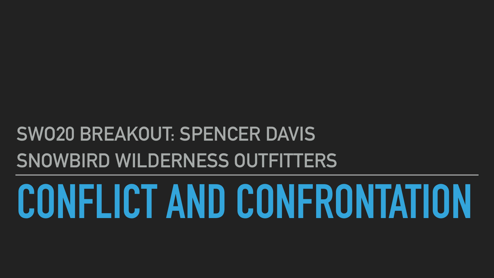## **CONFLICT AND CONFRONTATION SWO20 BREAKOUT: SPENCER DAVIS SNOWBIRD WILDERNESS OUTFITTERS**

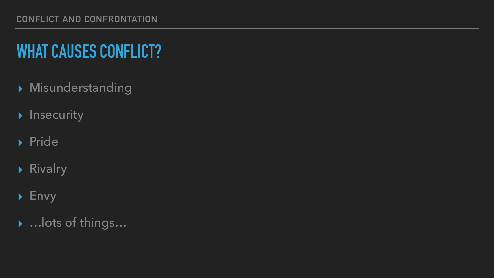## **WHAT CAUSES CONFLICT?**

- ▸ Misunderstanding
- ▸ Insecurity
- ▸ Pride
- ▸ Rivalry
- ▸ Envy
- ▸ …lots of things…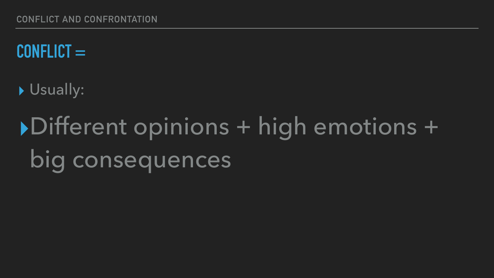#### **CONFLICT =**

#### ▸ Usually:

## ▸Different opinions + high emotions + big consequences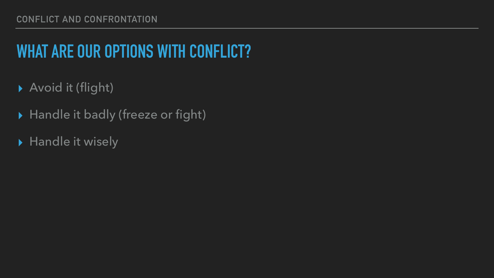### **WHAT ARE OUR OPTIONS WITH CONFLICT?**

- ▸ Avoid it (flight)
- ▸ Handle it badly (freeze or fight)
- ▸ Handle it wisely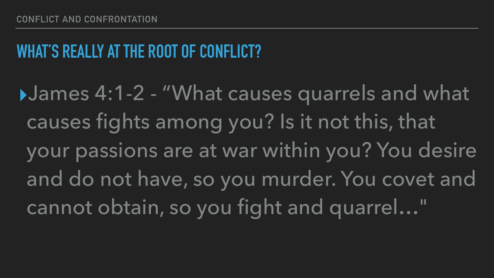#### **WHAT'S REALLY AT THE ROOT OF CONFLICT?**

▸James 4:1-2 - "What causes quarrels and what causes fights among you? Is it not this, that your passions are at war within you? You desire and do not have, so you murder. You covet and cannot obtain, so you fight and quarrel…"

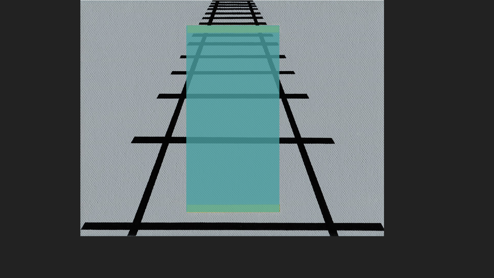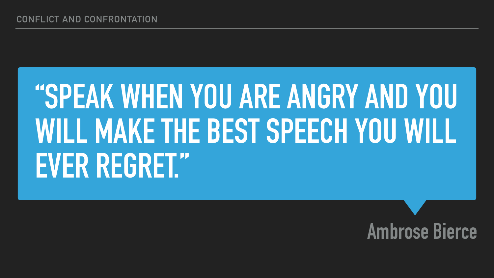# **"SPEAK WHEN YOU ARE ANGRY AND YOU WILL MAKE THE BEST SPEECH YOU WILL EVER REGRET."**

## **Ambrose Bierce**



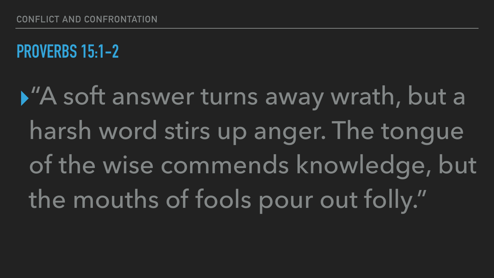#### **PROVERBS 15:1-2**

▸"A soft answer turns away wrath, but a harsh word stirs up anger. The tongue of the wise commends knowledge, but



# the mouths of fools pour out folly."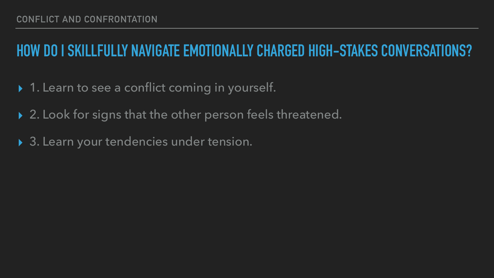#### **HOW DO I SKILLFULLY NAVIGATE EMOTIONALLY CHARGED HIGH-STAKES CONVERSATIONS?**

- ▸ 1. Learn to see a conflict coming in yourself.
- ▶ 2. Look for signs that the other person feels threatened.
- ▸ 3. Learn your tendencies under tension.

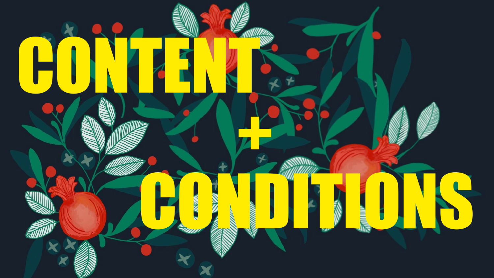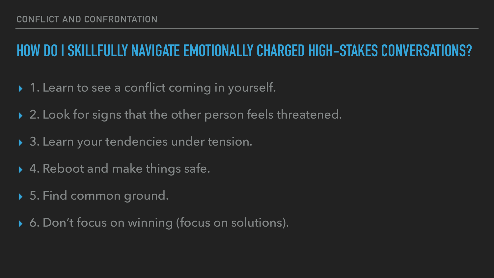#### **HOW DO I SKILLFULLY NAVIGATE EMOTIONALLY CHARGED HIGH-STAKES CONVERSATIONS?**

- ▸ 1. Learn to see a conflict coming in yourself.
- ▶ 2. Look for signs that the other person feels threatened.
- ▸ 3. Learn your tendencies under tension.
- ▶ 4. Reboot and make things safe.
- ▸ 5. Find common ground.
- ▸ 6. Don't focus on winning (focus on solutions).

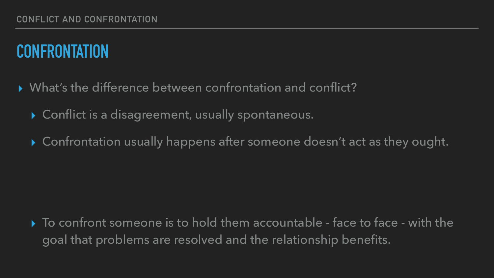#### **CONFRONTATION**

- ▸ What's the difference between confrontation and conflict?
	- ▸ Conflict is a disagreement, usually spontaneous.
	-

▸ Confrontation usually happens after someone doesn't act as they ought.

▸ To confront someone is to hold them accountable - face to face - with the

goal that problems are resolved and the relationship benefits.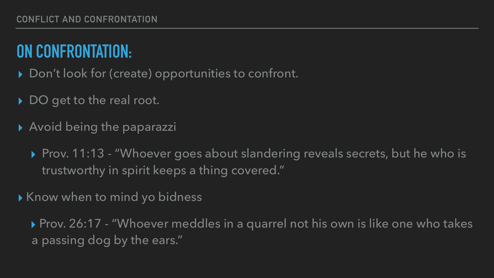#### **ON CONFRONTATION:**

## ▸ Prov. 11:13 - "Whoever goes about slandering reveals secrets, but he who is

- ▸ Don't look for (create) opportunities to confront.
- ▸ DO get to the real root.
- ▸ Avoid being the paparazzi
	- trustworthy in spirit keeps a thing covered."
- ▸ Know when to mind yo bidness
	- a passing dog by the ears."

#### ▸ Prov. 26:17 - "Whoever meddles in a quarrel not his own is like one who takes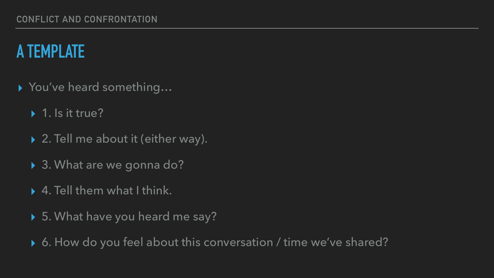#### **A TEMPLATE**

- ▸ You've heard something…
	- ▶ 1. Is it true?
	- ▸ 2. Tell me about it (either way).
	- ▸ 3. What are we gonna do?
	- ▸ 4. Tell them what I think.
	- ▸ 5. What have you heard me say?
	- ▸ 6. How do you feel about this conversation / time we've shared?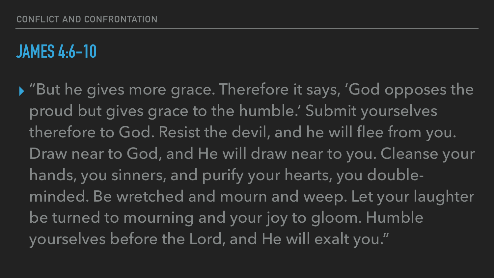#### **JAMES 4:6-10**

▸ "But he gives more grace. Therefore it says, 'God opposes the proud but gives grace to the humble.' Submit yourselves therefore to God. Resist the devil, and he will flee from you. Draw near to God, and He will draw near to you. Cleanse your hands, you sinners, and purify your hearts, you doubleminded. Be wretched and mourn and weep. Let your laughter be turned to mourning and your joy to gloom. Humble yourselves before the Lord, and He will exalt you."

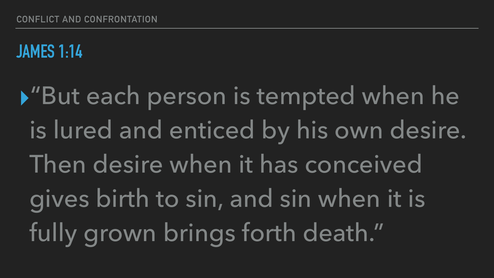#### **JAMES 1:14**

▸"But each person is tempted when he is lured and enticed by his own desire.

# Then desire when it has conceived gives birth to sin, and sin when it is fully grown brings forth death."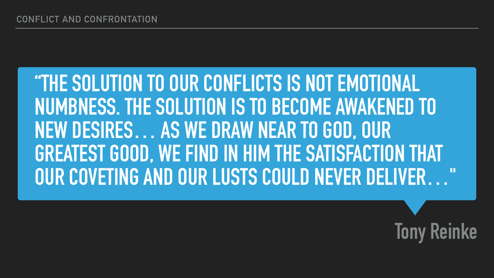## **"THE SOLUTION TO OUR CONFLICTS IS NOT EMOTIONAL NUMBNESS. THE SOLUTION IS TO BECOME AWAKENED TO NEW DESIRES… AS WE DRAW NEAR TO GOD, OUR GREATEST GOOD, WE FIND IN HIM THE SATISFACTION THAT OUR COVETING AND OUR LUSTS COULD NEVER DELIVER…"**